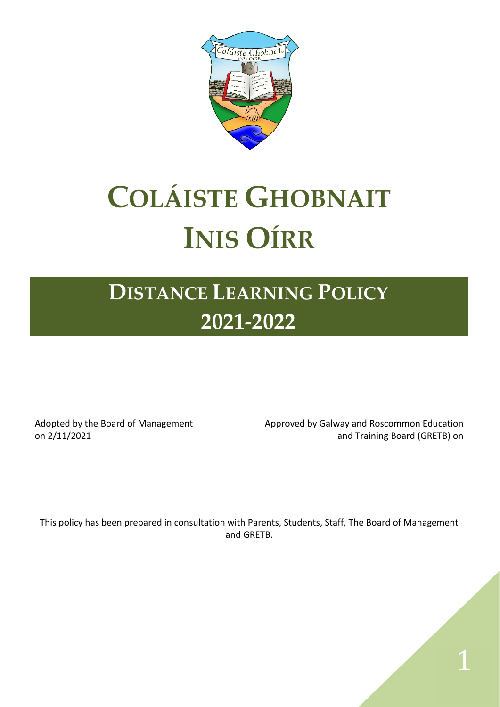

# **COLÁISTE GHOBNAIT INIS OÍRR**

## **DISTANCE LEARNING POLICY 2021-2022**

Adopted by the Board of Management on 2/11/2021

Approved by Galway and Roscommon Education and Training Board (GRETB) on

1

This policy has been prepared in consultation with Parents, Students, Staff, The Board of Management and GRETB.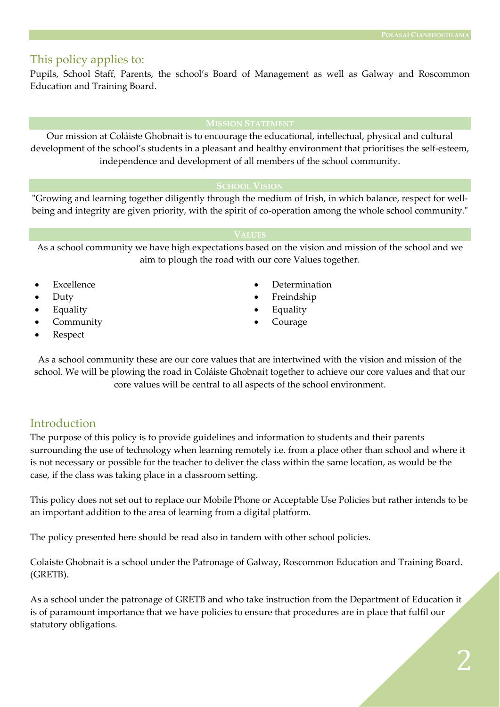#### This policy applies to:

Pupils, School Staff, Parents, the school's Board of Management as well as Galway and Roscommon Education and Training Board.

Our mission at Coláiste Ghobnait is to encourage the educational, intellectual, physical and cultural development of the school's students in a pleasant and healthy environment that prioritises the self-esteem, independence and development of all members of the school community.

"Growing and learning together diligently through the medium of Irish, in which balance, respect for wellbeing and integrity are given priority, with the spirit of co-operation among the whole school community."

As a school community we have high expectations based on the vision and mission of the school and we aim to plough the road with our core Values together.

- **Excellence**
- Duty
- **Equality**
- **Community**
- Respect
- As a school community these are our core values that are intertwined with the vision and mission of the school. We will be plowing the road in Coláiste Ghobnait together to achieve our core values and that our core values will be central to all aspects of the school environment.

#### Introduction

The purpose of this policy is to provide guidelines and information to students and their parents surrounding the use of technology when learning remotely i.e. from a place other than school and where it is not necessary or possible for the teacher to deliver the class within the same location, as would be the case, if the class was taking place in a classroom setting.

This policy does not set out to replace our Mobile Phone or Acceptable Use Policies but rather intends to be an important addition to the area of learning from a digital platform.

The policy presented here should be read also in tandem with other school policies.

Colaiste Ghobnait is a school under the Patronage of Galway, Roscommon Education and Training Board. (GRETB).

As a school under the patronage of GRETB and who take instruction from the Department of Education it is of paramount importance that we have policies to ensure that procedures are in place that fulfil our statutory obligations.

- Determination
- Freindship
- **Equality**
- Courage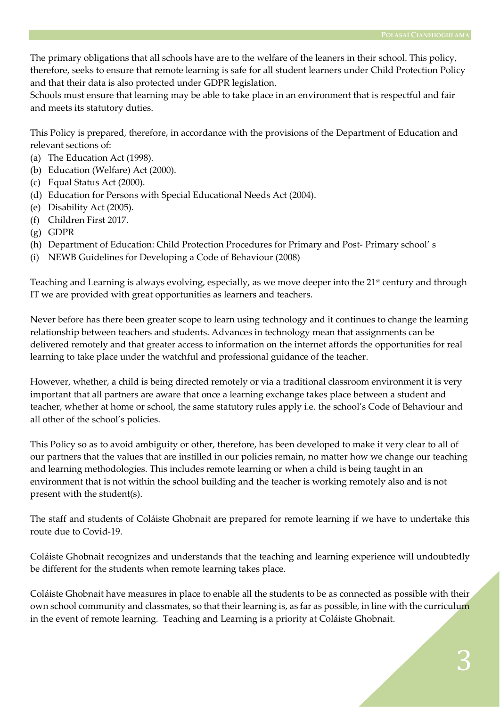The primary obligations that all schools have are to the welfare of the leaners in their school. This policy, therefore, seeks to ensure that remote learning is safe for all student learners under Child Protection Policy and that their data is also protected under GDPR legislation.

Schools must ensure that learning may be able to take place in an environment that is respectful and fair and meets its statutory duties.

This Policy is prepared, therefore, in accordance with the provisions of the Department of Education and relevant sections of:

- (a) The Education Act (1998).
- (b) Education (Welfare) Act (2000).
- (c) Equal Status Act (2000).
- (d) Education for Persons with Special Educational Needs Act (2004).
- (e) Disability Act (2005).
- (f) Children First 2017.
- (g) GDPR
- (h) Department of Education: Child Protection Procedures for Primary and Post- Primary school' s
- (i) NEWB Guidelines for Developing a Code of Behaviour (2008)

Teaching and Learning is always evolving, especially, as we move deeper into the 21<sup>st</sup> century and through IT we are provided with great opportunities as learners and teachers.

Never before has there been greater scope to learn using technology and it continues to change the learning relationship between teachers and students. Advances in technology mean that assignments can be delivered remotely and that greater access to information on the internet affords the opportunities for real learning to take place under the watchful and professional guidance of the teacher.

However, whether, a child is being directed remotely or via a traditional classroom environment it is very important that all partners are aware that once a learning exchange takes place between a student and teacher, whether at home or school, the same statutory rules apply i.e. the school's Code of Behaviour and all other of the school's policies.

This Policy so as to avoid ambiguity or other, therefore, has been developed to make it very clear to all of our partners that the values that are instilled in our policies remain, no matter how we change our teaching and learning methodologies. This includes remote learning or when a child is being taught in an environment that is not within the school building and the teacher is working remotely also and is not present with the student(s).

The staff and students of Coláiste Ghobnait are prepared for remote learning if we have to undertake this route due to Covid-19.

Coláiste Ghobnait recognizes and understands that the teaching and learning experience will undoubtedly be different for the students when remote learning takes place.

Coláiste Ghobnait have measures in place to enable all the students to be as connected as possible with their own school community and classmates, so that their learning is, as far as possible, in line with the curriculum in the event of remote learning. Teaching and Learning is a priority at Coláiste Ghobnait.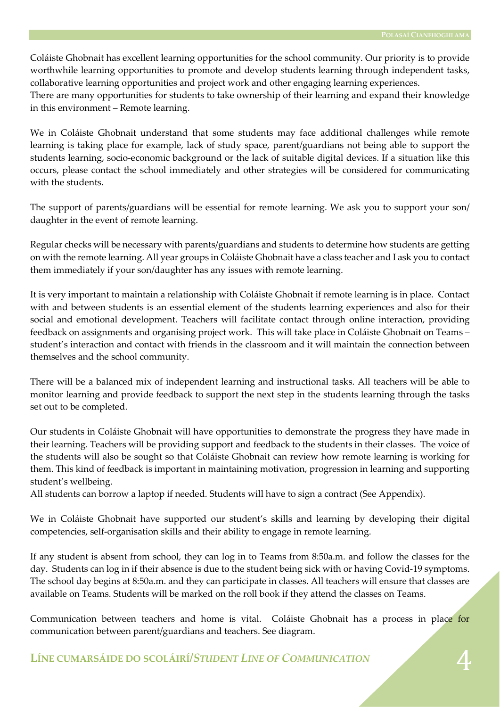Coláiste Ghobnait has excellent learning opportunities for the school community. Our priority is to provide worthwhile learning opportunities to promote and develop students learning through independent tasks, collaborative learning opportunities and project work and other engaging learning experiences. There are many opportunities for students to take ownership of their learning and expand their knowledge in this environment – Remote learning.

We in Coláiste Ghobnait understand that some students may face additional challenges while remote learning is taking place for example, lack of study space, parent/guardians not being able to support the students learning, socio-economic background or the lack of suitable digital devices. If a situation like this occurs, please contact the school immediately and other strategies will be considered for communicating with the students.

The support of parents/guardians will be essential for remote learning. We ask you to support your son/ daughter in the event of remote learning.

Regular checks will be necessary with parents/guardians and students to determine how students are getting on with the remote learning. All year groups in Coláiste Ghobnait have a class teacher and I ask you to contact them immediately if your son/daughter has any issues with remote learning.

It is very important to maintain a relationship with Coláiste Ghobnait if remote learning is in place. Contact with and between students is an essential element of the students learning experiences and also for their social and emotional development. Teachers will facilitate contact through online interaction, providing feedback on assignments and organising project work. This will take place in Coláiste Ghobnait on Teams – student's interaction and contact with friends in the classroom and it will maintain the connection between themselves and the school community.

There will be a balanced mix of independent learning and instructional tasks. All teachers will be able to monitor learning and provide feedback to support the next step in the students learning through the tasks set out to be completed.

Our students in Coláiste Ghobnait will have opportunities to demonstrate the progress they have made in their learning. Teachers will be providing support and feedback to the students in their classes. The voice of the students will also be sought so that Coláiste Ghobnait can review how remote learning is working for them. This kind of feedback is important in maintaining motivation, progression in learning and supporting student's wellbeing.

All students can borrow a laptop if needed. Students will have to sign a contract (See Appendix).

We in Coláiste Ghobnait have supported our student's skills and learning by developing their digital competencies, self-organisation skills and their ability to engage in remote learning.

If any student is absent from school, they can log in to Teams from 8:50a.m. and follow the classes for the day. Students can log in if their absence is due to the student being sick with or having Covid-19 symptoms. The school day begins at 8:50a.m. and they can participate in classes. All teachers will ensure that classes are available on Teams. Students will be marked on the roll book if they attend the classes on Teams.

Communication between teachers and home is vital. Coláiste Ghobnait has a process in place for communication between parent/guardians and teachers. See diagram.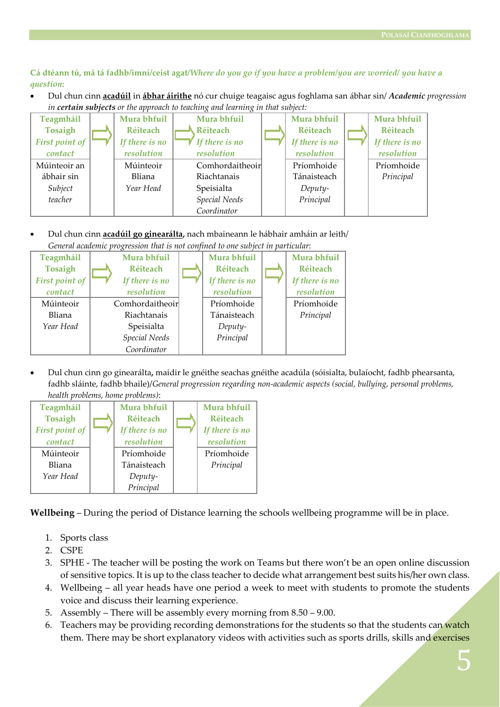**Cá dtéann tú, má tá fadhb/imní/ceist agat/***Where do you go if you have a problem/you are worried/ you have a question***:**

• Dul chun cinn **acadúil** in **ábhar áirithe** nó cur chuige teagaisc agus foghlama san ábhar sin/ *Academic progression in certain subjects or the approach to teaching and learning in that subject:*

|                |                 | $\cdots$        |                |                |
|----------------|-----------------|-----------------|----------------|----------------|
| Teagmháil      | Mura bhfuil     | Mura bhfuil     | Mura bhfuil    | Mura bhfuil    |
| Tosaigh        | <b>Réiteach</b> | <b>Réiteach</b> | Réiteach       | Réiteach       |
| First point of | If there is no  | If there is no  | If there is no | If there is no |
| contact        | resolution      | resolution      | resolution     | resolution     |
| Múinteoir an   | Múinteoir       | Comhordaitheoir | Príomhoide     | Príomhoide     |
| ábhair sin     | Bliana          | Riachtanais     | Tánaisteach    | Principal      |
| Subject        | Year Head       | Speisialta      | Deputy-        |                |
| teacher        |                 | Special Needs   | Principal      |                |
|                |                 | Coordinator     |                |                |

• Dul chun cinn **acadúil go ginearálta,** nach mbaineann le hábhair amháin ar leith/ *General academic progression that is not confined to one subject in particular*:

| Teagmháil      | Mura bhfuil     | Mura bhfuil    |  | Mura bhfuil    |
|----------------|-----------------|----------------|--|----------------|
| Tosaigh        | <b>Réiteach</b> | Réiteach       |  | Réiteach       |
| First point of | If there is no  | If there is no |  | If there is no |
| contact        | resolution      | resolution     |  | resolution     |
| Múinteoir      | Comhordaitheoir | Príomhoide     |  | Príomhoide     |
| Bliana         | Riachtanais     | Tánaisteach    |  | Principal      |
| Year Head      | Speisialta      | Deputy-        |  |                |
|                | Special Needs   | Principal      |  |                |
|                | Coordinator     |                |  |                |

• Dul chun cinn go ginearálta**,** maidir le gnéithe seachas gnéithe acadúla (sóisialta, bulaíocht, fadhb phearsanta, fadhb sláinte, fadhb bhaile)/*General progression regarding non-academic aspects (social, bullying, personal problems, health problems, home problems)*:

| Teagmháil      | Mura bhfuil     | Mura bhfuil    |
|----------------|-----------------|----------------|
| <b>Tosaigh</b> | <b>Réiteach</b> | Réiteach       |
| First point of | If there is no  | If there is no |
| contact        | resolution      | resolution     |
| Múinteoir      | Príomhoide      | Príomhoide     |
| Bliana         | Tánaisteach     | Principal      |
| Year Head      | Deputy-         |                |
|                | Principal       |                |

**Wellbeing** – During the period of Distance learning the schools wellbeing programme will be in place.

- 1. Sports class
- 2. CSPE
- 3. SPHE The teacher will be posting the work on Teams but there won't be an open online discussion of sensitive topics. It is up to the class teacher to decide what arrangement best suits his/her own class.
- 4. Wellbeing all year heads have one period a week to meet with students to promote the students voice and discuss their learning experience.
- 5. Assembly There will be assembly every morning from 8.50 9.00.
- 6. Teachers may be providing recording demonstrations for the students so that the students can watch them. There may be short explanatory videos with activities such as sports drills, skills and exercises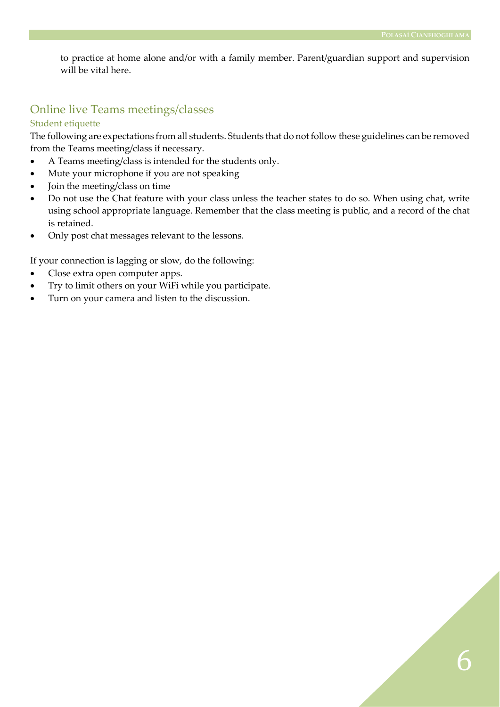to practice at home alone and/or with a family member. Parent/guardian support and supervision will be vital here.

## Online live Teams meetings/classes

#### Student etiquette

The following are expectations from all students. Students that do not follow these guidelines can be removed from the Teams meeting/class if necessary.

- A Teams meeting/class is intended for the students only.
- Mute your microphone if you are not speaking
- Join the meeting/class on time
- Do not use the Chat feature with your class unless the teacher states to do so. When using chat, write using school appropriate language. Remember that the class meeting is public, and a record of the chat is retained.
- Only post chat messages relevant to the lessons.

If your connection is lagging or slow, do the following:

- Close extra open computer apps.
- Try to limit others on your WiFi while you participate.
- Turn on your camera and listen to the discussion.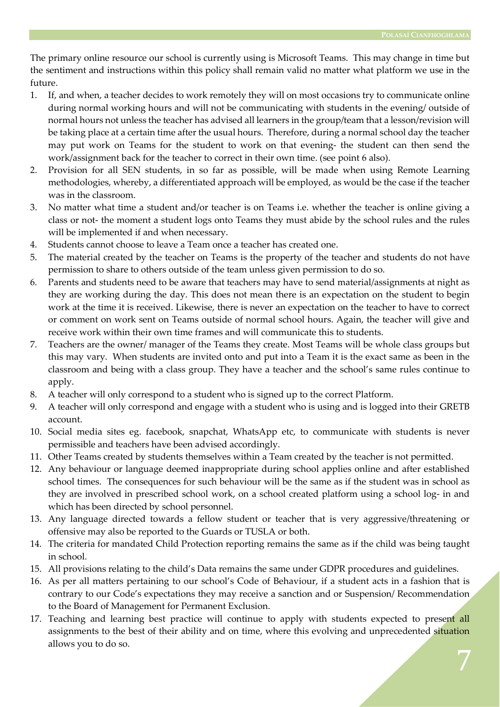The primary online resource our school is currently using is Microsoft Teams. This may change in time but the sentiment and instructions within this policy shall remain valid no matter what platform we use in the future.

- 1. If, and when, a teacher decides to work remotely they will on most occasions try to communicate online during normal working hours and will not be communicating with students in the evening/ outside of normal hours not unless the teacher has advised all learners in the group/team that a lesson/revision will be taking place at a certain time after the usual hours. Therefore, during a normal school day the teacher may put work on Teams for the student to work on that evening- the student can then send the work/assignment back for the teacher to correct in their own time. (see point 6 also).
- 2. Provision for all SEN students, in so far as possible, will be made when using Remote Learning methodologies, whereby, a differentiated approach will be employed, as would be the case if the teacher was in the classroom.
- 3. No matter what time a student and/or teacher is on Teams i.e. whether the teacher is online giving a class or not- the moment a student logs onto Teams they must abide by the school rules and the rules will be implemented if and when necessary.
- 4. Students cannot choose to leave a Team once a teacher has created one.
- 5. The material created by the teacher on Teams is the property of the teacher and students do not have permission to share to others outside of the team unless given permission to do so.
- 6. Parents and students need to be aware that teachers may have to send material/assignments at night as they are working during the day. This does not mean there is an expectation on the student to begin work at the time it is received. Likewise, there is never an expectation on the teacher to have to correct or comment on work sent on Teams outside of normal school hours. Again, the teacher will give and receive work within their own time frames and will communicate this to students.
- 7. Teachers are the owner/ manager of the Teams they create. Most Teams will be whole class groups but this may vary. When students are invited onto and put into a Team it is the exact same as been in the classroom and being with a class group. They have a teacher and the school's same rules continue to apply.
- 8. A teacher will only correspond to a student who is signed up to the correct Platform.
- 9. A teacher will only correspond and engage with a student who is using and is logged into their GRETB account.
- 10. Social media sites eg. facebook, snapchat, WhatsApp etc, to communicate with students is never permissible and teachers have been advised accordingly.
- 11. Other Teams created by students themselves within a Team created by the teacher is not permitted.
- 12. Any behaviour or language deemed inappropriate during school applies online and after established school times. The consequences for such behaviour will be the same as if the student was in school as they are involved in prescribed school work, on a school created platform using a school log- in and which has been directed by school personnel.
- 13. Any language directed towards a fellow student or teacher that is very aggressive/threatening or offensive may also be reported to the Guards or TUSLA or both.
- 14. The criteria for mandated Child Protection reporting remains the same as if the child was being taught in school.
- 15. All provisions relating to the child's Data remains the same under GDPR procedures and guidelines.
- 16. As per all matters pertaining to our school's Code of Behaviour, if a student acts in a fashion that is contrary to our Code's expectations they may receive a sanction and or Suspension/ Recommendation to the Board of Management for Permanent Exclusion.
- 17. Teaching and learning best practice will continue to apply with students expected to present all assignments to the best of their ability and on time, where this evolving and unprecedented situation allows you to do so.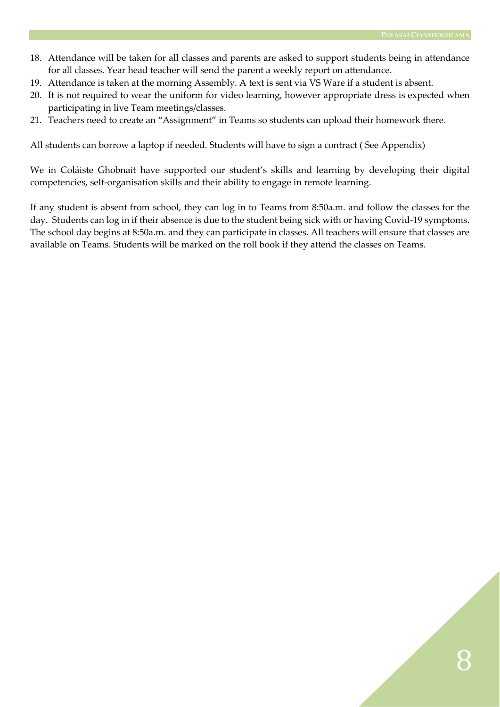- 18. Attendance will be taken for all classes and parents are asked to support students being in attendance for all classes. Year head teacher will send the parent a weekly report on attendance.
- 19. Attendance is taken at the morning Assembly. A text is sent via VS Ware if a student is absent.
- 20. It is not required to wear the uniform for video learning, however appropriate dress is expected when participating in live Team meetings/classes.
- 21. Teachers need to create an "Assignment" in Teams so students can upload their homework there.

All students can borrow a laptop if needed. Students will have to sign a contract ( See Appendix)

We in Coláiste Ghobnait have supported our student's skills and learning by developing their digital competencies, self-organisation skills and their ability to engage in remote learning.

If any student is absent from school, they can log in to Teams from 8:50a.m. and follow the classes for the day. Students can log in if their absence is due to the student being sick with or having Covid-19 symptoms. The school day begins at 8:50a.m. and they can participate in classes. All teachers will ensure that classes are available on Teams. Students will be marked on the roll book if they attend the classes on Teams.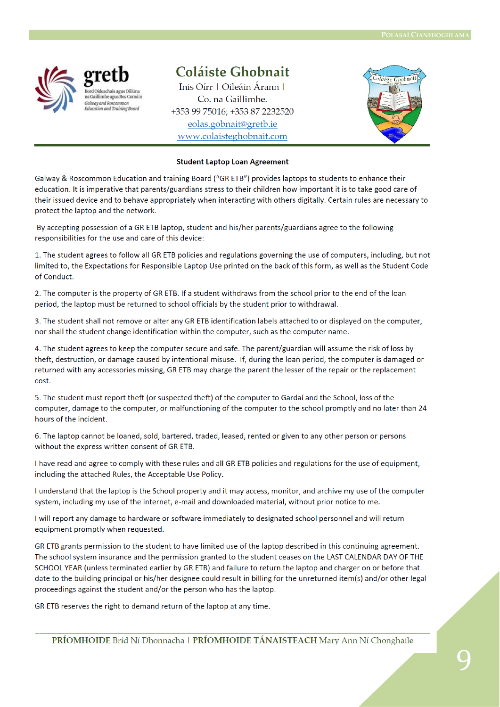

Gaillimhe agus Ros Comáin

thway and Ro

## Coláiste Ghobnait

Inis Oírr | Oileáin Árann | Co. na Gaillimhe. +353 99 75016; +353 87 2232520 eolas.gobnait@gretb.ie www.colaisteghobnait.com



#### **Student Laptop Loan Agreement**

Galway & Roscommon Education and training Board ("GR ETB") provides laptops to students to enhance their education. It is imperative that parents/guardians stress to their children how important it is to take good care of their issued device and to behave appropriately when interacting with others digitally. Certain rules are necessary to protect the laptop and the network.

By accepting possession of a GR ETB laptop, student and his/her parents/guardians agree to the following responsibilities for the use and care of this device:

1. The student agrees to follow all GR ETB policies and regulations governing the use of computers, including, but not limited to, the Expectations for Responsible Laptop Use printed on the back of this form, as well as the Student Code of Conduct.

2. The computer is the property of GR ETB. If a student withdraws from the school prior to the end of the loan period, the laptop must be returned to school officials by the student prior to withdrawal.

3. The student shall not remove or alter any GR ETB identification labels attached to or displayed on the computer, nor shall the student change identification within the computer, such as the computer name.

4. The student agrees to keep the computer secure and safe. The parent/guardian will assume the risk of loss by theft, destruction, or damage caused by intentional misuse. If, during the loan period, the computer is damaged or returned with any accessories missing, GR ETB may charge the parent the lesser of the repair or the replacement cost.

5. The student must report theft (or suspected theft) of the computer to Gardaí and the School, loss of the computer, damage to the computer, or malfunctioning of the computer to the school promptly and no later than 24 hours of the incident.

6. The laptop cannot be loaned, sold, bartered, traded, leased, rented or given to any other person or persons without the express written consent of GR ETB.

I have read and agree to comply with these rules and all GR ETB policies and regulations for the use of equipment, including the attached Rules, the Acceptable Use Policy.

I understand that the laptop is the School property and it may access, monitor, and archive my use of the computer system, including my use of the internet, e-mail and downloaded material, without prior notice to me.

I will report any damage to hardware or software immediately to designated school personnel and will return equipment promptly when requested.

GR ETB grants permission to the student to have limited use of the laptop described in this continuing agreement. The school system insurance and the permission granted to the student ceases on the LAST CALENDAR DAY OF THE SCHOOL YEAR (unless terminated earlier by GR ETB) and failure to return the laptop and charger on or before that date to the building principal or his/her designee could result in billing for the unreturned item(s) and/or other legal proceedings against the student and/or the person who has the laptop.

GR ETB reserves the right to demand return of the laptop at any time.